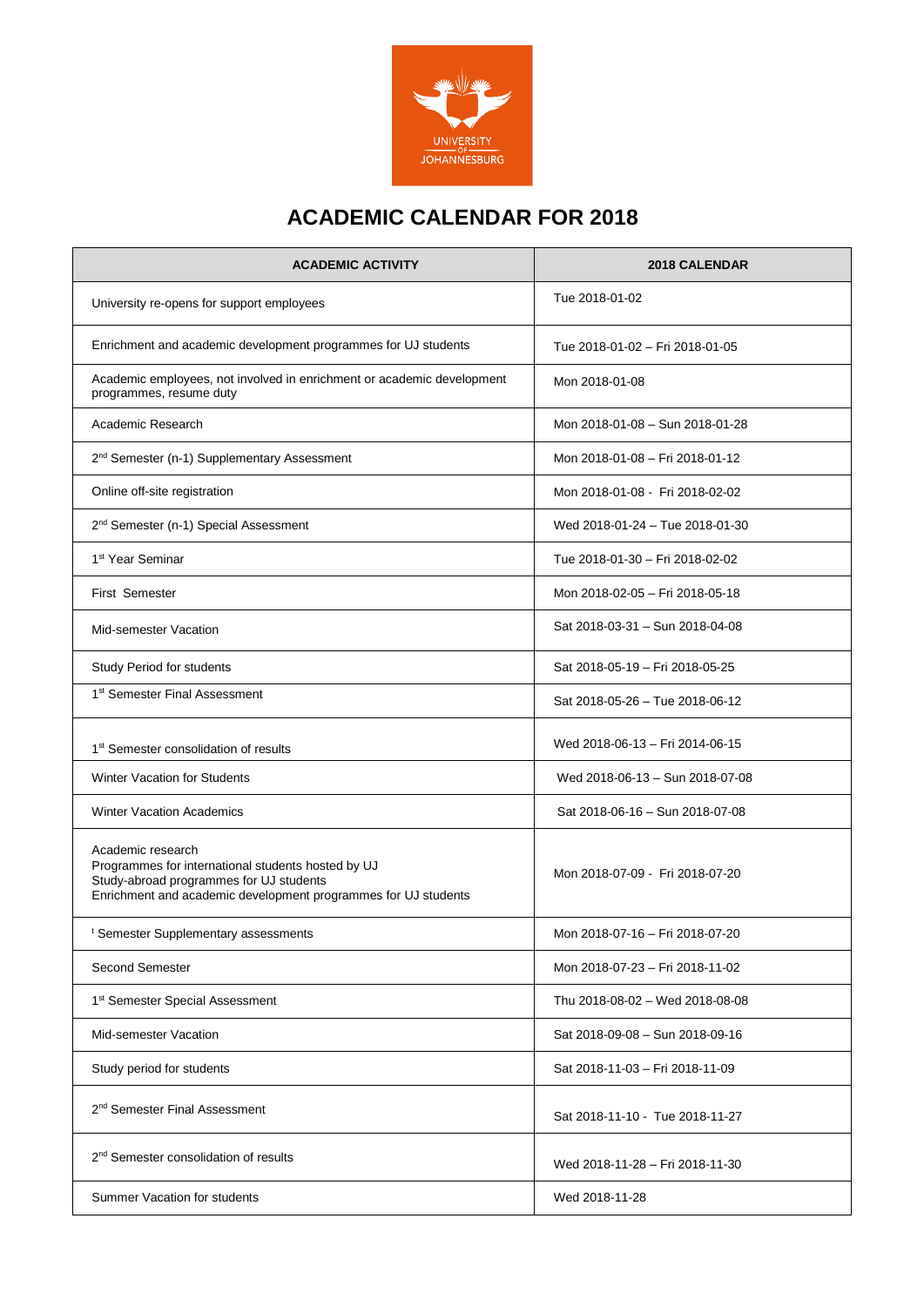

# **ACADEMIC CALENDAR FOR 2018**

| <b>ACADEMIC ACTIVITY</b>                                                                                                                                                             | 2018 CALENDAR                   |
|--------------------------------------------------------------------------------------------------------------------------------------------------------------------------------------|---------------------------------|
| University re-opens for support employees                                                                                                                                            | Tue 2018-01-02                  |
| Enrichment and academic development programmes for UJ students                                                                                                                       | Tue 2018-01-02 - Fri 2018-01-05 |
| Academic employees, not involved in enrichment or academic development<br>programmes, resume duty                                                                                    | Mon 2018-01-08                  |
| Academic Research                                                                                                                                                                    | Mon 2018-01-08 - Sun 2018-01-28 |
| 2 <sup>nd</sup> Semester (n-1) Supplementary Assessment                                                                                                                              | Mon 2018-01-08 - Fri 2018-01-12 |
| Online off-site registration                                                                                                                                                         | Mon 2018-01-08 - Fri 2018-02-02 |
| 2 <sup>nd</sup> Semester (n-1) Special Assessment                                                                                                                                    | Wed 2018-01-24 - Tue 2018-01-30 |
| 1 <sup>st</sup> Year Seminar                                                                                                                                                         | Tue 2018-01-30 - Fri 2018-02-02 |
| <b>First Semester</b>                                                                                                                                                                | Mon 2018-02-05 - Fri 2018-05-18 |
| Mid-semester Vacation                                                                                                                                                                | Sat 2018-03-31 - Sun 2018-04-08 |
| Study Period for students                                                                                                                                                            | Sat 2018-05-19 - Fri 2018-05-25 |
| 1 <sup>st</sup> Semester Final Assessment                                                                                                                                            | Sat 2018-05-26 - Tue 2018-06-12 |
| 1 <sup>st</sup> Semester consolidation of results                                                                                                                                    | Wed 2018-06-13 - Fri 2014-06-15 |
| <b>Winter Vacation for Students</b>                                                                                                                                                  | Wed 2018-06-13 - Sun 2018-07-08 |
| <b>Winter Vacation Academics</b>                                                                                                                                                     | Sat 2018-06-16 - Sun 2018-07-08 |
| Academic research<br>Programmes for international students hosted by UJ<br>Study-abroad programmes for UJ students<br>Enrichment and academic development programmes for UJ students | Mon 2018-07-09 - Fri 2018-07-20 |
| <sup>t</sup> Semester Supplementary assessments                                                                                                                                      | Mon 2018-07-16 - Fri 2018-07-20 |
| Second Semester                                                                                                                                                                      | Mon 2018-07-23 - Fri 2018-11-02 |
| 1 <sup>st</sup> Semester Special Assessment                                                                                                                                          | Thu 2018-08-02 - Wed 2018-08-08 |
| Mid-semester Vacation                                                                                                                                                                | Sat 2018-09-08 - Sun 2018-09-16 |
| Study period for students                                                                                                                                                            | Sat 2018-11-03 - Fri 2018-11-09 |
| 2 <sup>nd</sup> Semester Final Assessment                                                                                                                                            | Sat 2018-11-10 - Tue 2018-11-27 |
| 2 <sup>nd</sup> Semester consolidation of results                                                                                                                                    | Wed 2018-11-28 - Fri 2018-11-30 |
| Summer Vacation for students                                                                                                                                                         | Wed 2018-11-28                  |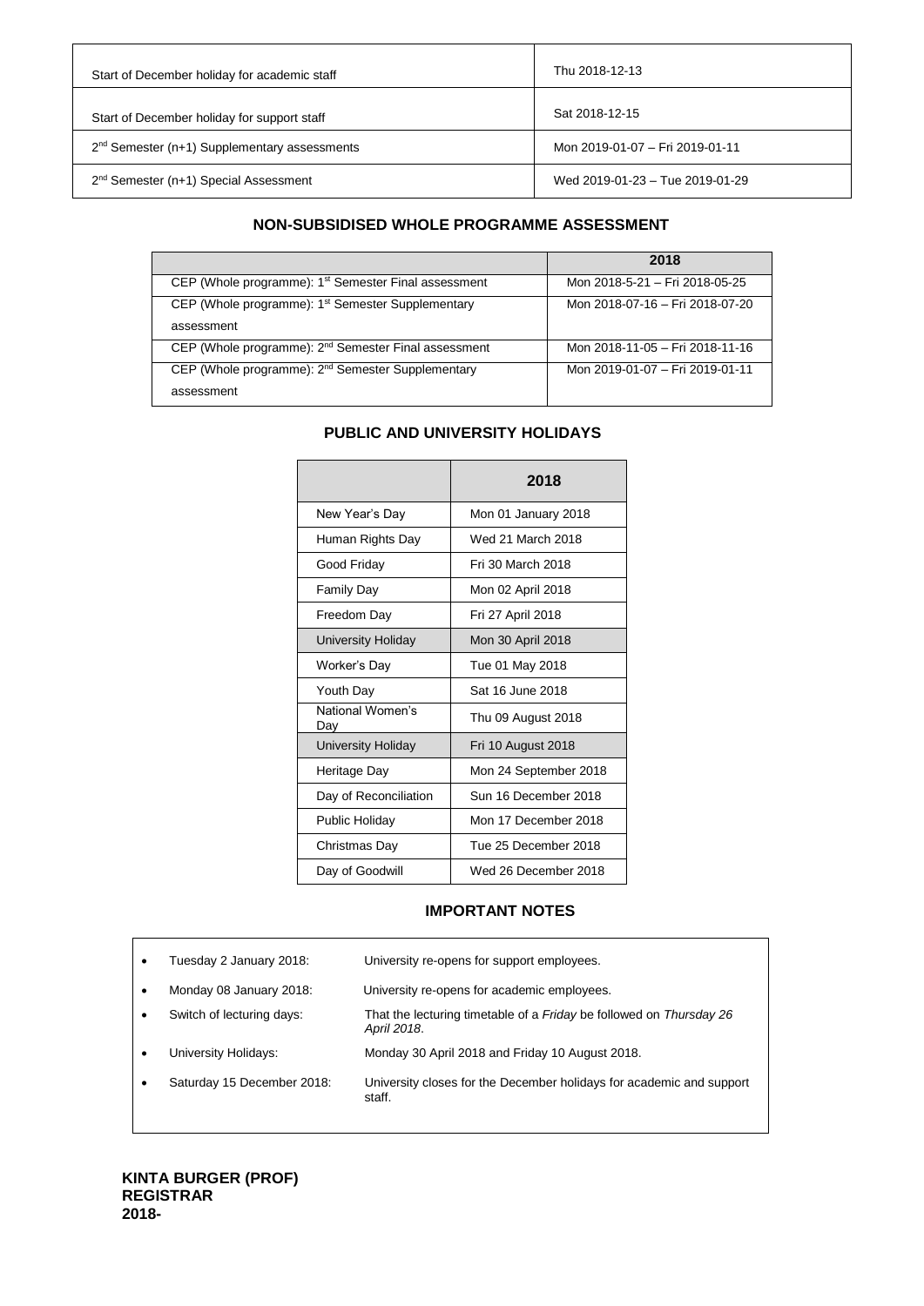| Start of December holiday for academic staff   | Thu 2018-12-13                  |
|------------------------------------------------|---------------------------------|
| Start of December holiday for support staff    | Sat 2018-12-15                  |
| $2nd$ Semester (n+1) Supplementary assessments | Mon 2019-01-07 - Fri 2019-01-11 |
| $2nd$ Semester (n+1) Special Assessment        | Wed 2019-01-23 - Tue 2019-01-29 |

## **NON-SUBSIDISED WHOLE PROGRAMME ASSESSMENT**

|                                                                  | 2018                            |
|------------------------------------------------------------------|---------------------------------|
| CEP (Whole programme): 1 <sup>st</sup> Semester Final assessment | Mon 2018-5-21 - Fri 2018-05-25  |
| CEP (Whole programme): 1 <sup>st</sup> Semester Supplementary    | Mon 2018-07-16 - Fri 2018-07-20 |
| assessment                                                       |                                 |
| CEP (Whole programme): 2 <sup>nd</sup> Semester Final assessment | Mon 2018-11-05 - Fri 2018-11-16 |
| CEP (Whole programme): 2 <sup>nd</sup> Semester Supplementary    | Mon 2019-01-07 - Fri 2019-01-11 |
| assessment                                                       |                                 |

## **PUBLIC AND UNIVERSITY HOLIDAYS**

|                           | 2018                  |
|---------------------------|-----------------------|
| New Year's Day            | Mon 01 January 2018   |
| Human Rights Day          | Wed 21 March 2018     |
| Good Friday               | Fri 30 March 2018     |
| <b>Family Day</b>         | Mon 02 April 2018     |
| Freedom Day               | Fri 27 April 2018     |
| <b>University Holiday</b> | Mon 30 April 2018     |
| Worker's Day              | Tue 01 May 2018       |
| Youth Day                 | Sat 16 June 2018      |
| National Women's<br>Day   | Thu 09 August 2018    |
| <b>University Holiday</b> | Fri 10 August 2018    |
| Heritage Day              | Mon 24 September 2018 |
| Day of Reconciliation     | Sun 16 December 2018  |
| Public Holiday            | Mon 17 December 2018  |
| Christmas Day             | Tue 25 December 2018  |
| Day of Goodwill           | Wed 26 December 2018  |

## **IMPORTANT NOTES**

| Tuesday 2 January 2018:    | University re-opens for support employees.                                                       |
|----------------------------|--------------------------------------------------------------------------------------------------|
| Monday 08 January 2018:    | University re-opens for academic employees.                                                      |
| Switch of lecturing days:  | That the lecturing timetable of a <i>Friday</i> be followed on <i>Thursday 26</i><br>April 2018. |
| University Holidays:       | Monday 30 April 2018 and Friday 10 August 2018.                                                  |
| Saturday 15 December 2018: | University closes for the December holidays for academic and support<br>staff.                   |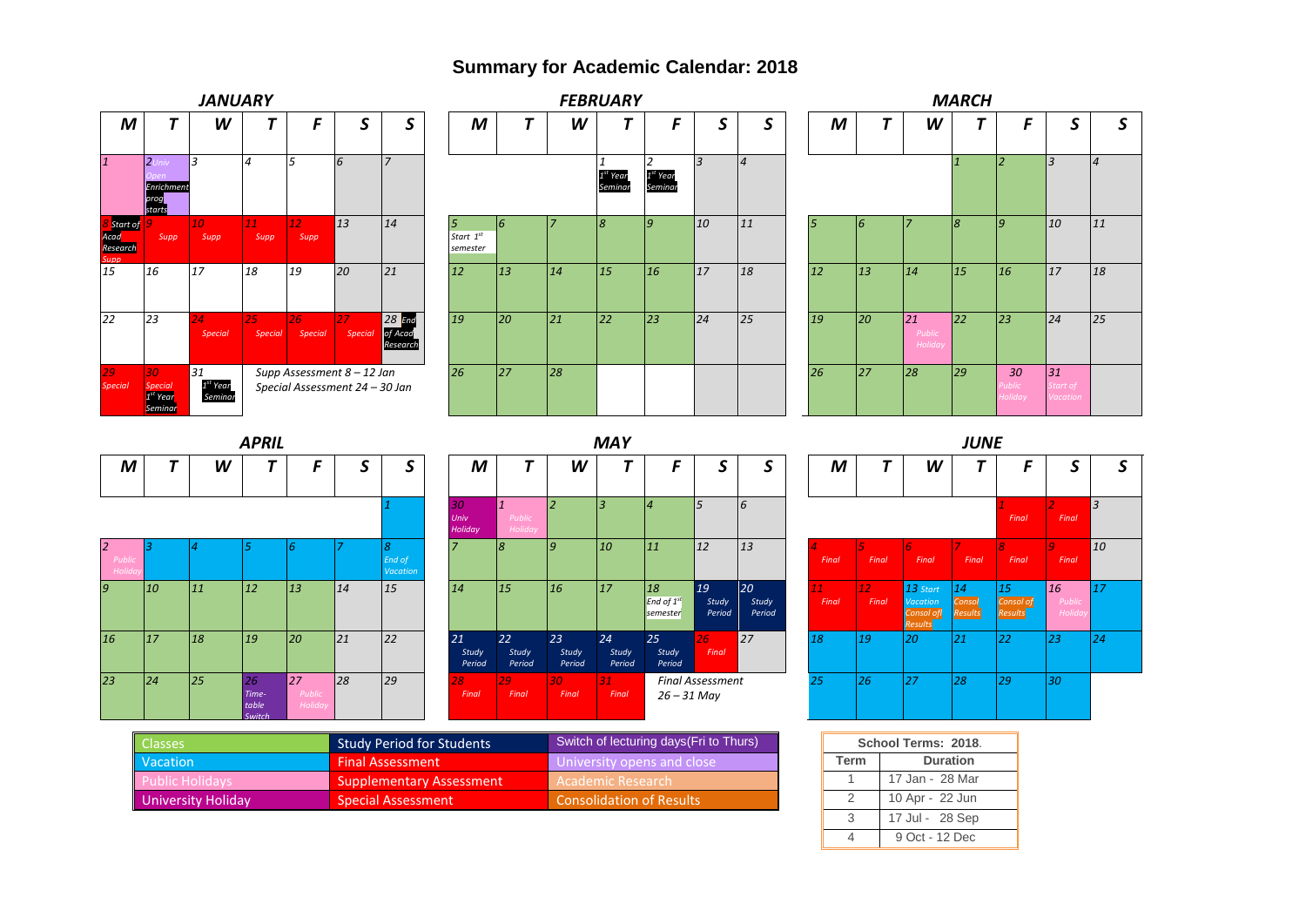## **Summary for Academic Calendar: 2018**



| IVI               | ,  | vv |                                | r                              | J  | J                              | IVI                                |                                   | vv                       |                       |                  |
|-------------------|----|----|--------------------------------|--------------------------------|----|--------------------------------|------------------------------------|-----------------------------------|--------------------------|-----------------------|------------------|
|                   |    |    |                                |                                |    |                                | 30 <sub>2</sub><br>Univ<br>Holiday | $\mathbf{1}$<br>Public<br>Holiday | $\overline{\phantom{a}}$ | 3                     | 14               |
| Public<br>Holiday |    |    | 5                              | 6                              | 7  | 8<br>End of<br><b>Vacation</b> | $\overline{7}$                     | 8                                 | $\overline{g}$           | 10                    | 11               |
| 9                 | 10 | 11 | 12                             | 13                             | 14 | 15                             | 14                                 | 15                                | 16                       | 17                    | 18<br>End<br>sen |
| 16                | 17 | 18 | 19                             | 20                             | 21 | 22                             | 21<br>Study<br>Period              | 22<br>Study<br>Period             | 23<br>Study<br>Period    | 24<br>Study<br>Period | 25               |
| 23                | 24 | 25 | 26<br>Time-<br>table<br>Switch | 27<br>Public<br><b>Holiday</b> | 28 | 29                             | 28<br>Final                        | 29<br>Final                       | 30<br>Final              | 31<br>Final           |                  |

| M                     | т                                        | W                     |                       | F                              | S                       | ς                     |  |
|-----------------------|------------------------------------------|-----------------------|-----------------------|--------------------------------|-------------------------|-----------------------|--|
| 30<br>Univ<br>Holiday | $\mathbf{1}$<br><b>Public</b><br>Holiday | $\overline{a}$        | 3                     | $\overline{4}$                 | 5                       | 6                     |  |
| $\overline{7}$        | 8                                        | 9                     | 10                    | 11                             | 12                      | 13                    |  |
| 14                    | 15                                       | 16                    | 17                    | 18<br>End of $1st$<br>semester | 19<br>Study<br>Period   | 20<br>Study<br>Period |  |
| 21<br>Study<br>Period | 22<br>Study<br>Period                    | 23<br>Study<br>Period | 24<br>Study<br>Period | 25<br>Study<br>Period          | 26<br>Final             | 27                    |  |
| 28<br>Final           | 29<br>Final                              | 30<br>Final           | 31<br>Final           | $26 - 31$ May                  | <b>Final Assessment</b> |                       |  |

|                       |             |                          |                                                     | JUNE                    |                            |                                |                |
|-----------------------|-------------|--------------------------|-----------------------------------------------------|-------------------------|----------------------------|--------------------------------|----------------|
| S                     | M           | T                        | W                                                   | Т                       | F                          | S                              | S              |
| 6                     |             |                          |                                                     |                         | 1<br>Final                 | $\overline{2}$<br>Final        | $\overline{3}$ |
| 13                    | 4<br>Final  | 5.<br>Final              | $\overline{6}$<br>Final                             | $\mathcal{I}$<br>Final  | 8<br>Final                 | 9<br>Final                     | 10             |
| 20<br>Study<br>Period | 11<br>Final | 12 <sup>°</sup><br>Final | 13 Start<br><b>Vacation</b><br>Consol of<br>Results | 14<br>Consol<br>Results | 15<br>Consol of<br>Results | 16<br>Public<br><b>Holiday</b> | 17             |
| 27                    | 18          | 19                       | 20                                                  | 21                      | 22                         | 23                             | 24             |
| t                     | 25          | 26                       | 27                                                  | 28                      | 29                         | 30                             |                |

| <b>Classes</b>         | <b>Study Period for Students</b> | Switch of lecturing days (Fri to Thurs) |      | School Terms: 2018 |
|------------------------|----------------------------------|-----------------------------------------|------|--------------------|
| Vacation               | <b>Final Assessment</b>          | University opens and close              | Term | <b>Duration</b>    |
| <b>Public Holidays</b> | <b>Supplementary Assessment</b>  | - Academic Research                     |      | 17 Jan - 28 Mar    |
| University Holiday     | Special Assessment               | Consolidation of Results                |      | 10 Apr - 22 Jun    |

| School Terms: 2018. |                 |  |  |  |  |  |  |  |  |  |
|---------------------|-----------------|--|--|--|--|--|--|--|--|--|
| <b>Term</b>         | <b>Duration</b> |  |  |  |  |  |  |  |  |  |
|                     | 17 Jan - 28 Mar |  |  |  |  |  |  |  |  |  |
| 2                   | 10 Apr - 22 Jun |  |  |  |  |  |  |  |  |  |
| 3                   | 17 Jul - 28 Sep |  |  |  |  |  |  |  |  |  |
|                     | 9 Oct - 12 Dec  |  |  |  |  |  |  |  |  |  |